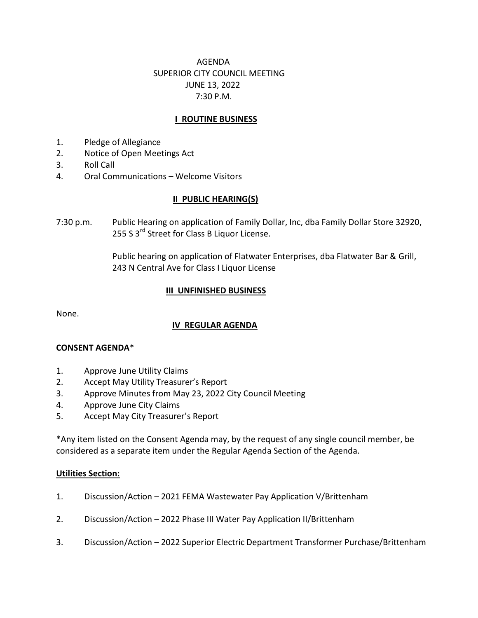# AGENDA SUPERIOR CITY COUNCIL MEETING JUNE 13, 2022 7:30 P.M.

## **I ROUTINE BUSINESS**

- 1. Pledge of Allegiance
- 2. Notice of Open Meetings Act
- 3. Roll Call
- 4. Oral Communications Welcome Visitors

### II PUBLIC HEARING(S)

7:30 p.m. Public Hearing on application of Family Dollar, Inc, dba Family Dollar Store 32920, 255 S 3<sup>rd</sup> Street for Class B Liquor License.

> Public hearing on application of Flatwater Enterprises, dba Flatwater Bar & Grill, 243 N Central Ave for Class I Liquor License

#### III UNFINISHED BUSINESS

None.

## IV REGULAR AGENDA

### CONSENT AGENDA\*

- 1. Approve June Utility Claims
- 2. Accept May Utility Treasurer's Report
- 3. Approve Minutes from May 23, 2022 City Council Meeting
- 4. Approve June City Claims
- 5. Accept May City Treasurer's Report

\*Any item listed on the Consent Agenda may, by the request of any single council member, be considered as a separate item under the Regular Agenda Section of the Agenda.

### **Utilities Section:**

- 1. Discussion/Action 2021 FEMA Wastewater Pay Application V/Brittenham
- 2. Discussion/Action 2022 Phase III Water Pay Application II/Brittenham
- 3. Discussion/Action 2022 Superior Electric Department Transformer Purchase/Brittenham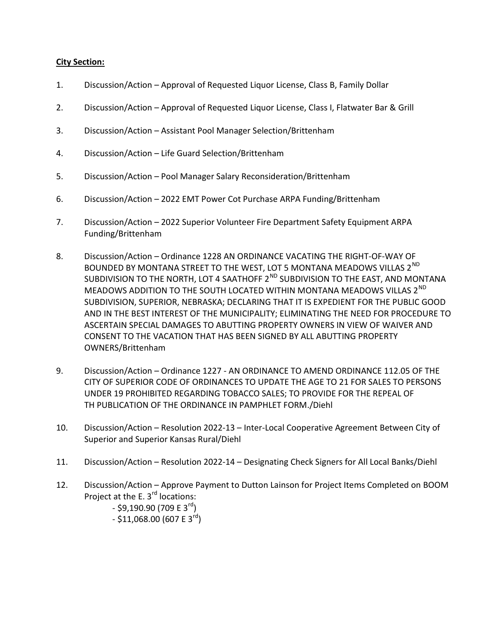### City Section:

- 1. Discussion/Action Approval of Requested Liquor License, Class B, Family Dollar
- 2. Discussion/Action Approval of Requested Liquor License, Class I, Flatwater Bar & Grill
- 3. Discussion/Action Assistant Pool Manager Selection/Brittenham
- 4. Discussion/Action Life Guard Selection/Brittenham
- 5. Discussion/Action Pool Manager Salary Reconsideration/Brittenham
- 6. Discussion/Action 2022 EMT Power Cot Purchase ARPA Funding/Brittenham
- 7. Discussion/Action 2022 Superior Volunteer Fire Department Safety Equipment ARPA Funding/Brittenham
- 8. Discussion/Action Ordinance 1228 AN ORDINANCE VACATING THE RIGHT-OF-WAY OF BOUNDED BY MONTANA STREET TO THE WEST, LOT 5 MONTANA MEADOWS VILLAS 2<sup>ND</sup> SUBDIVISION TO THE NORTH, LOT 4 SAATHOFF 2<sup>ND</sup> SUBDIVISION TO THE EAST, AND MONTANA MEADOWS ADDITION TO THE SOUTH LOCATED WITHIN MONTANA MEADOWS VILLAS 2<sup>ND</sup> SUBDIVISION, SUPERIOR, NEBRASKA; DECLARING THAT IT IS EXPEDIENT FOR THE PUBLIC GOOD AND IN THE BEST INTEREST OF THE MUNICIPALITY; ELIMINATING THE NEED FOR PROCEDURE TO ASCERTAIN SPECIAL DAMAGES TO ABUTTING PROPERTY OWNERS IN VIEW OF WAIVER AND CONSENT TO THE VACATION THAT HAS BEEN SIGNED BY ALL ABUTTING PROPERTY OWNERS/Brittenham
- 9. Discussion/Action Ordinance 1227 AN ORDINANCE TO AMEND ORDINANCE 112.05 OF THE CITY OF SUPERIOR CODE OF ORDINANCES TO UPDATE THE AGE TO 21 FOR SALES TO PERSONS UNDER 19 PROHIBITED REGARDING TOBACCO SALES; TO PROVIDE FOR THE REPEAL OF TH PUBLICATION OF THE ORDINANCE IN PAMPHLET FORM./Diehl
- 10. Discussion/Action Resolution 2022-13 Inter-Local Cooperative Agreement Between City of Superior and Superior Kansas Rural/Diehl
- 11. Discussion/Action Resolution 2022-14 Designating Check Signers for All Local Banks/Diehl
- 12. Discussion/Action Approve Payment to Dutton Lainson for Project Items Completed on BOOM Project at the E.  $3<sup>rd</sup>$  locations:
	- $-$  \$9.190.90 (709 E 3<sup>rd</sup>)
	- $-$  \$11,068.00 (607 E 3<sup>rd</sup>)